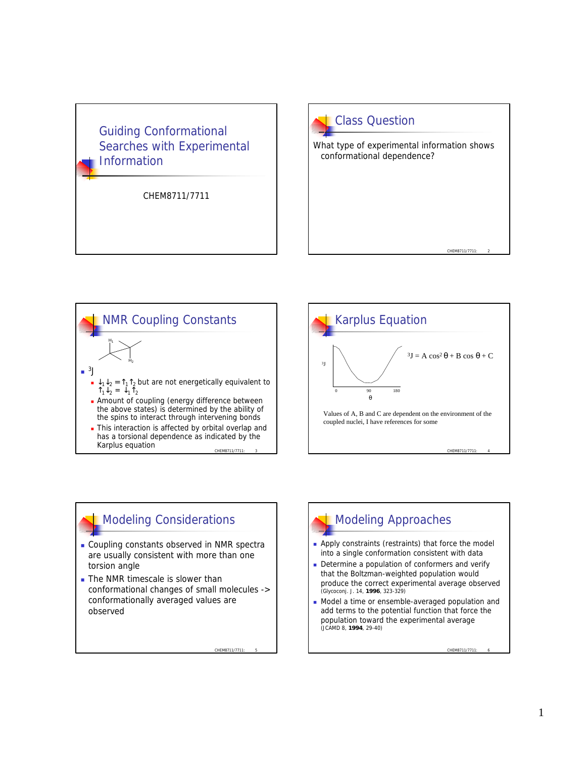### Guiding Conformational Searches with Experimental **Information**

CHEM8711/7711







## Modeling Considerations

- **.** Coupling constants observed in NMR spectra are usually consistent with more than one torsion angle
- **n** The NMR timescale is slower than conformational changes of small molecules -> conformationally averaged values are observed

CHEM8711/7711

Modeling Approaches

- **n** Apply constraints (restraints) that force the model into a single conformation consistent with data
- Determine a population of conformers and verify that the Boltzman-weighted population would produce the correct experimental average observed (Glycoconj. J. 14, **1996**, 323-329)
- Model a time or ensemble-averaged population and add terms to the potential function that force the population toward the experimental average (JCAMD 8, **1994**, 29-40)

CHEM8711/7711: 6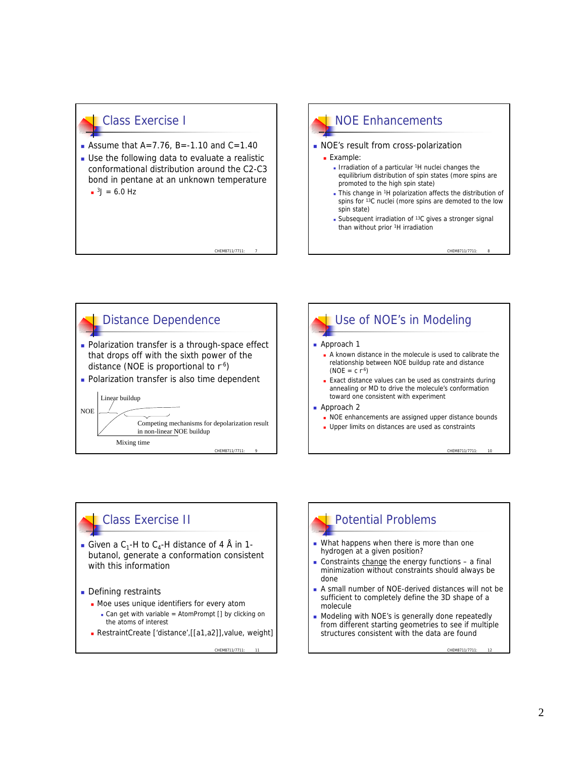#### Class Exercise I

- **Assume that A=7.76, B=-1.10 and C=1.40**
- $\blacksquare$  Use the following data to evaluate a realistic conformational distribution around the C2-C3 bond in pentane at an unknown temperature  $3J = 6.0$  Hz

CHEM8711/7711: 7

# NOE Enhancements **NOE's result from cross-polarization**

- **Example:** 
	- **n** Irradiation of a particular <sup>1</sup>H nuclei changes the equilibrium distribution of spin states (more spins are promoted to the high spin state)
	- This change in <sup>1</sup>H polarization affects the distribution of spins for <sup>13</sup>C nuclei (more spins are demoted to the low spin state)

CHEM8711/7711

**Subsequent irradiation of**  $13C$  **gives a stronger signal** than without prior <sup>1</sup>H irradiation





#### Class Exercise II

- **Given a C<sub>1</sub>-H** to C<sub>4</sub>-H distance of 4 Å in 1butanol, generate a conformation consistent with this information
- **Defining restraints** 
	- Moe uses unique identifiers for every atom
		- Can get with variable = AtomPrompt  $[]$  by clicking on the atoms of interest
	- <sup>n</sup> RestraintCreate ['distance',[[a1,a2]],value, weight]

CHEM8711/7711

# Potential Problems

- $\blacksquare$  What happens when there is more than one hydrogen at a given position?
- Constraints change the energy functions  $-$  a final minimization without constraints should always be done
- A small number of NOE-derived distances will not be sufficient to completely define the 3D shape of a molecule
- Modeling with NOE's is generally done repeatedly from different starting geometries to see if multiple structures consistent with the data are found

CHEM8711/7711: 12